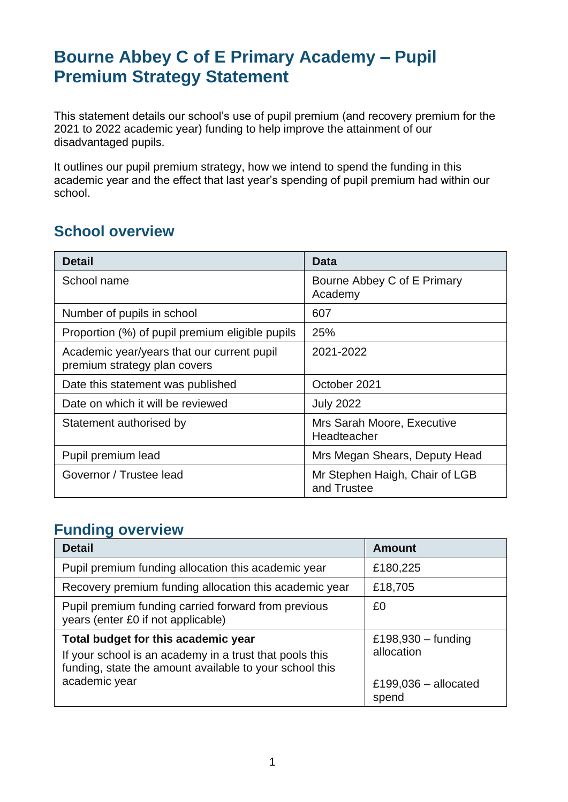# **Bourne Abbey C of E Primary Academy – Pupil Premium Strategy Statement**

This statement details our school's use of pupil premium (and recovery premium for the 2021 to 2022 academic year) funding to help improve the attainment of our disadvantaged pupils.

It outlines our pupil premium strategy, how we intend to spend the funding in this academic year and the effect that last year's spending of pupil premium had within our school.

## **School overview**

| <b>Detail</b>                                                              | <b>Data</b>                                   |
|----------------------------------------------------------------------------|-----------------------------------------------|
| School name                                                                | Bourne Abbey C of E Primary<br>Academy        |
| Number of pupils in school                                                 | 607                                           |
| Proportion (%) of pupil premium eligible pupils                            | 25%                                           |
| Academic year/years that our current pupil<br>premium strategy plan covers | 2021-2022                                     |
| Date this statement was published                                          | October 2021                                  |
| Date on which it will be reviewed                                          | <b>July 2022</b>                              |
| Statement authorised by                                                    | Mrs Sarah Moore, Executive<br>Headteacher     |
| Pupil premium lead                                                         | Mrs Megan Shears, Deputy Head                 |
| Governor / Trustee lead                                                    | Mr Stephen Haigh, Chair of LGB<br>and Trustee |

### **Funding overview**

| <b>Detail</b>                                                                                                                                             | <b>Amount</b>                      |
|-----------------------------------------------------------------------------------------------------------------------------------------------------------|------------------------------------|
| Pupil premium funding allocation this academic year                                                                                                       | £180,225                           |
| Recovery premium funding allocation this academic year                                                                                                    | £18,705                            |
| Pupil premium funding carried forward from previous<br>years (enter £0 if not applicable)                                                                 | £0                                 |
| Total budget for this academic year<br>If your school is an academy in a trust that pools this<br>funding, state the amount available to your school this | £198,930 $-$ funding<br>allocation |
| academic year                                                                                                                                             | £199,036 $-$ allocated<br>spend    |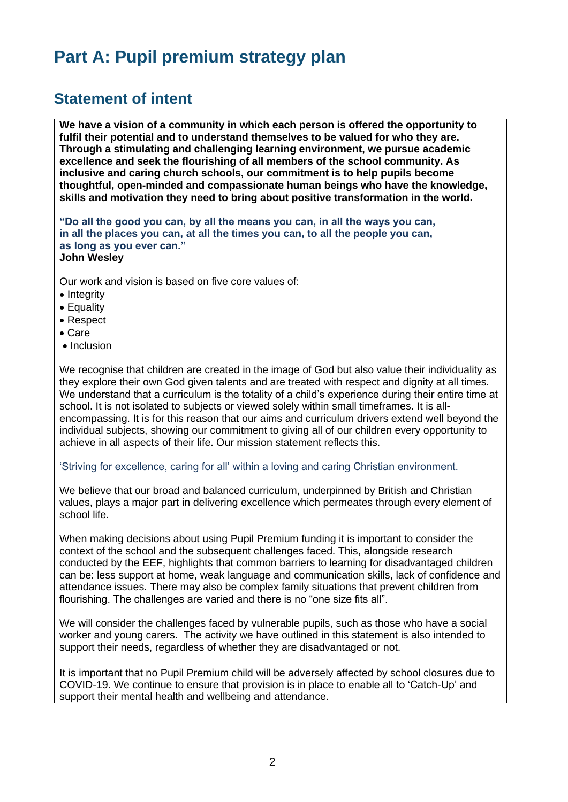# **Part A: Pupil premium strategy plan**

### **Statement of intent**

**We have a vision of a community in which each person is offered the opportunity to fulfil their potential and to understand themselves to be valued for who they are. Through a stimulating and challenging learning environment, we pursue academic excellence and seek the flourishing of all members of the school community. As inclusive and caring church schools, our commitment is to help pupils become thoughtful, open-minded and compassionate human beings who have the knowledge, skills and motivation they need to bring about positive transformation in the world.**

**"Do all the good you can, by all the means you can, in all the ways you can, in all the places you can, at all the times you can, to all the people you can, as long as you ever can." John Wesley**

Our work and vision is based on five core values of:

- Integrity
- Equality
- Respect
- Care
- Inclusion

We recognise that children are created in the image of God but also value their individuality as they explore their own God given talents and are treated with respect and dignity at all times. We understand that a curriculum is the totality of a child's experience during their entire time at school. It is not isolated to subjects or viewed solely within small timeframes. It is allencompassing. It is for this reason that our aims and curriculum drivers extend well beyond the individual subjects, showing our commitment to giving all of our children every opportunity to achieve in all aspects of their life. Our mission statement reflects this.

#### 'Striving for excellence, caring for all' within a loving and caring Christian environment.

We believe that our broad and balanced curriculum, underpinned by British and Christian values, plays a major part in delivering excellence which permeates through every element of school life.

When making decisions about using Pupil Premium funding it is important to consider the context of the school and the subsequent challenges faced. This, alongside research conducted by the EEF, highlights that common barriers to learning for disadvantaged children can be: less support at home, weak language and communication skills, lack of confidence and attendance issues. There may also be complex family situations that prevent children from flourishing. The challenges are varied and there is no "one size fits all".

We will consider the challenges faced by vulnerable pupils, such as those who have a social worker and young carers. The activity we have outlined in this statement is also intended to support their needs, regardless of whether they are disadvantaged or not.

It is important that no Pupil Premium child will be adversely affected by school closures due to COVID-19. We continue to ensure that provision is in place to enable all to 'Catch-Up' and support their mental health and wellbeing and attendance.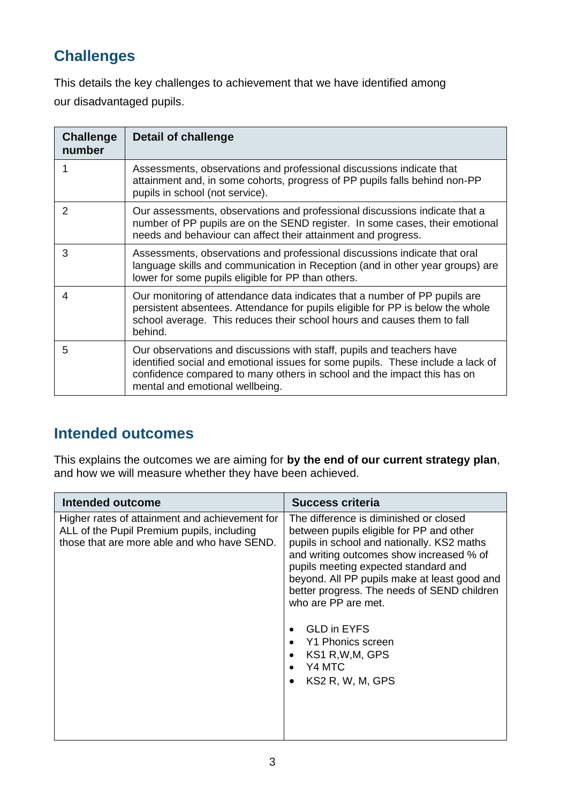## **Challenges**

This details the key challenges to achievement that we have identified among our disadvantaged pupils.

| <b>Challenge</b><br>number | <b>Detail of challenge</b>                                                                                                                                                                                                                                             |
|----------------------------|------------------------------------------------------------------------------------------------------------------------------------------------------------------------------------------------------------------------------------------------------------------------|
| 1                          | Assessments, observations and professional discussions indicate that<br>attainment and, in some cohorts, progress of PP pupils falls behind non-PP<br>pupils in school (not service).                                                                                  |
| 2                          | Our assessments, observations and professional discussions indicate that a<br>number of PP pupils are on the SEND register. In some cases, their emotional<br>needs and behaviour can affect their attainment and progress.                                            |
| 3                          | Assessments, observations and professional discussions indicate that oral<br>language skills and communication in Reception (and in other year groups) are<br>lower for some pupils eligible for PP than others.                                                       |
| 4                          | Our monitoring of attendance data indicates that a number of PP pupils are<br>persistent absentees. Attendance for pupils eligible for PP is below the whole<br>school average. This reduces their school hours and causes them to fall<br>behind.                     |
| 5                          | Our observations and discussions with staff, pupils and teachers have<br>identified social and emotional issues for some pupils. These include a lack of<br>confidence compared to many others in school and the impact this has on<br>mental and emotional wellbeing. |

## **Intended outcomes**

This explains the outcomes we are aiming for **by the end of our current strategy plan**, and how we will measure whether they have been achieved.

| Intended outcome                                                                                                                            | <b>Success criteria</b>                                                                                                                                                                                                                                                                                                                                                                                                                 |
|---------------------------------------------------------------------------------------------------------------------------------------------|-----------------------------------------------------------------------------------------------------------------------------------------------------------------------------------------------------------------------------------------------------------------------------------------------------------------------------------------------------------------------------------------------------------------------------------------|
| Higher rates of attainment and achievement for<br>ALL of the Pupil Premium pupils, including<br>those that are more able and who have SEND. | The difference is diminished or closed<br>between pupils eligible for PP and other<br>pupils in school and nationally. KS2 maths<br>and writing outcomes show increased % of<br>pupils meeting expected standard and<br>beyond. All PP pupils make at least good and<br>better progress. The needs of SEND children<br>who are PP are met.<br><b>GLD in EYFS</b><br>Y1 Phonics screen<br>KS1 R, W, M, GPS<br>Y4 MTC<br>KS2 R, W, M, GPS |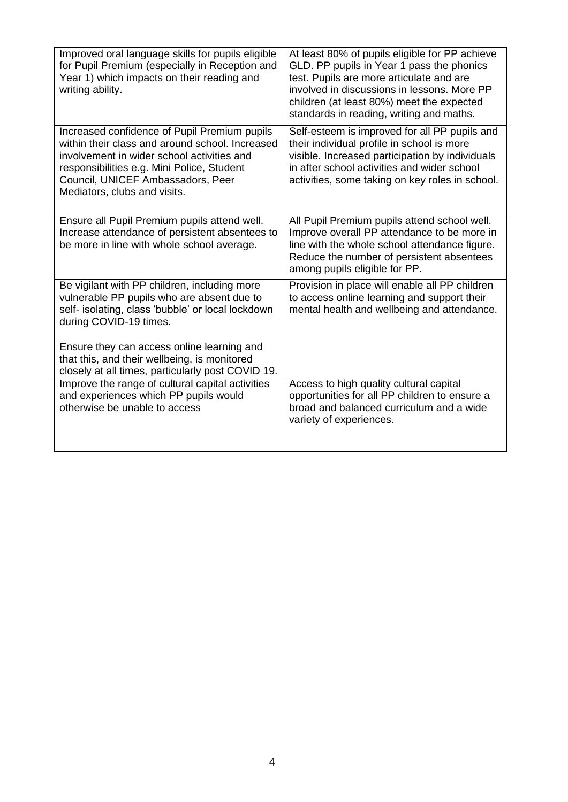| Improved oral language skills for pupils eligible<br>for Pupil Premium (especially in Reception and<br>Year 1) which impacts on their reading and<br>writing ability.                                                                                                   | At least 80% of pupils eligible for PP achieve<br>GLD. PP pupils in Year 1 pass the phonics<br>test. Pupils are more articulate and are<br>involved in discussions in lessons. More PP<br>children (at least 80%) meet the expected<br>standards in reading, writing and maths. |
|-------------------------------------------------------------------------------------------------------------------------------------------------------------------------------------------------------------------------------------------------------------------------|---------------------------------------------------------------------------------------------------------------------------------------------------------------------------------------------------------------------------------------------------------------------------------|
| Increased confidence of Pupil Premium pupils<br>within their class and around school. Increased<br>involvement in wider school activities and<br>responsibilities e.g. Mini Police, Student<br>Council, UNICEF Ambassadors, Peer<br>Mediators, clubs and visits.        | Self-esteem is improved for all PP pupils and<br>their individual profile in school is more<br>visible. Increased participation by individuals<br>in after school activities and wider school<br>activities, some taking on key roles in school.                                |
| Ensure all Pupil Premium pupils attend well.<br>Increase attendance of persistent absentees to<br>be more in line with whole school average.                                                                                                                            | All Pupil Premium pupils attend school well.<br>Improve overall PP attendance to be more in<br>line with the whole school attendance figure.<br>Reduce the number of persistent absentees<br>among pupils eligible for PP.                                                      |
| Be vigilant with PP children, including more<br>vulnerable PP pupils who are absent due to<br>self- isolating, class 'bubble' or local lockdown<br>during COVID-19 times.<br>Ensure they can access online learning and<br>that this, and their wellbeing, is monitored | Provision in place will enable all PP children<br>to access online learning and support their<br>mental health and wellbeing and attendance.                                                                                                                                    |
| closely at all times, particularly post COVID 19.<br>Improve the range of cultural capital activities<br>and experiences which PP pupils would<br>otherwise be unable to access                                                                                         | Access to high quality cultural capital<br>opportunities for all PP children to ensure a<br>broad and balanced curriculum and a wide<br>variety of experiences.                                                                                                                 |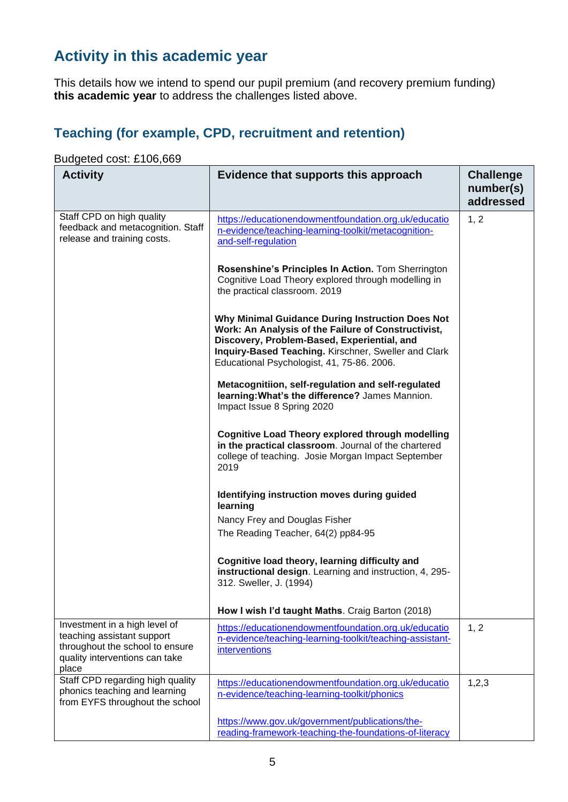## **Activity in this academic year**

This details how we intend to spend our pupil premium (and recovery premium funding) **this academic year** to address the challenges listed above.

### **Teaching (for example, CPD, recruitment and retention)**

#### **Activity Evidence that supports this approach Challenge number(s) addressed** Staff CPD on high quality feedback and metacognition. Staff release and training costs. [https://educationendowmentfoundation.org.uk/educatio](https://educationendowmentfoundation.org.uk/education-evidence/teaching-learning-toolkit/metacognition-and-self-regulation) [n-evidence/teaching-learning-toolkit/metacognition](https://educationendowmentfoundation.org.uk/education-evidence/teaching-learning-toolkit/metacognition-and-self-regulation)[and-self-regulation](https://educationendowmentfoundation.org.uk/education-evidence/teaching-learning-toolkit/metacognition-and-self-regulation) **Rosenshine's Principles In Action.** Tom Sherrington Cognitive Load Theory explored through modelling in the practical classroom. 2019 **Why Minimal Guidance During Instruction Does Not Work: An Analysis of the Failure of Constructivist, Discovery, Problem-Based, Experiential, and Inquiry-Based Teaching.** Kirschner, [Sweller](https://www.tandfonline.com/author/Sweller%2C+John) and Clark Educational Psychologist, 41, 75-86. 2006. **Metacognitiion, self-regulation and self-regulated learning:What's the difference?** James Mannion. Impact Issue 8 Spring 2020 **Cognitive Load Theory explored through modelling in the practical classroom**. Journal of the chartered college of teaching. Josie Morgan Impact September 2019 **Identifying instruction moves during guided learning** Nancy Frey and Douglas Fisher The Reading Teacher, 64(2) pp84-95 **Cognitive load theory, learning difficulty and instructional design**. Learning and instruction, 4, 295- 312. Sweller, J. (1994) **How I wish I'd taught Maths**. Craig Barton (2018) 1, 2 Investment in a high level of teaching assistant support throughout the school to ensure quality interventions can take place [https://educationendowmentfoundation.org.uk/educatio](https://educationendowmentfoundation.org.uk/education-evidence/teaching-learning-toolkit/teaching-assistant-interventions) [n-evidence/teaching-learning-toolkit/teaching-assistant](https://educationendowmentfoundation.org.uk/education-evidence/teaching-learning-toolkit/teaching-assistant-interventions)[interventions](https://educationendowmentfoundation.org.uk/education-evidence/teaching-learning-toolkit/teaching-assistant-interventions) 1, 2 Staff CPD regarding high quality phonics teaching and learning from EYFS throughout the school [https://educationendowmentfoundation.org.uk/educatio](https://educationendowmentfoundation.org.uk/education-evidence/teaching-learning-toolkit/phonics) [n-evidence/teaching-learning-toolkit/phonics](https://educationendowmentfoundation.org.uk/education-evidence/teaching-learning-toolkit/phonics) [https://www.gov.uk/government/publications/the](https://www.gov.uk/government/publications/the-reading-framework-teaching-the-foundations-of-literacy)[reading-framework-teaching-the-foundations-of-literacy](https://www.gov.uk/government/publications/the-reading-framework-teaching-the-foundations-of-literacy) 1,2,3

#### Budgeted cost: £106,669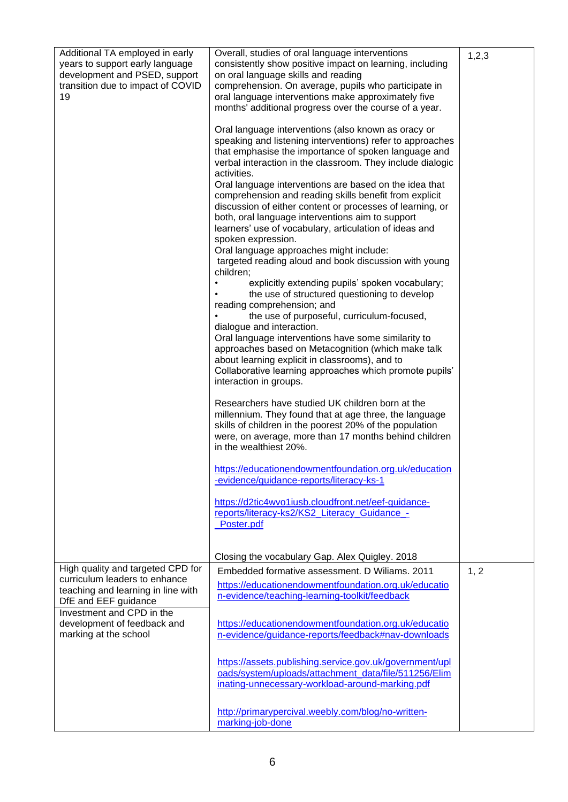| Additional TA employed in early<br>years to support early language<br>development and PSED, support<br>transition due to impact of COVID<br>19                                                                        | Overall, studies of oral language interventions<br>consistently show positive impact on learning, including<br>on oral language skills and reading<br>comprehension. On average, pupils who participate in<br>oral language interventions make approximately five<br>months' additional progress over the course of a year.<br>Oral language interventions (also known as oracy or<br>speaking and listening interventions) refer to approaches<br>that emphasise the importance of spoken language and<br>verbal interaction in the classroom. They include dialogic<br>activities.<br>Oral language interventions are based on the idea that<br>comprehension and reading skills benefit from explicit<br>discussion of either content or processes of learning, or<br>both, oral language interventions aim to support<br>learners' use of vocabulary, articulation of ideas and<br>spoken expression.<br>Oral language approaches might include:<br>targeted reading aloud and book discussion with young<br>children;<br>explicitly extending pupils' spoken vocabulary;<br>the use of structured questioning to develop<br>reading comprehension; and<br>the use of purposeful, curriculum-focused,<br>dialogue and interaction.<br>Oral language interventions have some similarity to<br>approaches based on Metacognition (which make talk<br>about learning explicit in classrooms), and to<br>Collaborative learning approaches which promote pupils'<br>interaction in groups.<br>Researchers have studied UK children born at the<br>millennium. They found that at age three, the language<br>skills of children in the poorest 20% of the population<br>were, on average, more than 17 months behind children<br>in the wealthiest 20%.<br>https://educationendowmentfoundation.org.uk/education<br>-evidence/guidance-reports/literacy-ks-1<br>https://d2tic4wvo1iusb.cloudfront.net/eef-guidance-<br>reports/literacy-ks2/KS2_Literacy_Guidance -<br>Poster.pdf | 1, 2, 3 |
|-----------------------------------------------------------------------------------------------------------------------------------------------------------------------------------------------------------------------|----------------------------------------------------------------------------------------------------------------------------------------------------------------------------------------------------------------------------------------------------------------------------------------------------------------------------------------------------------------------------------------------------------------------------------------------------------------------------------------------------------------------------------------------------------------------------------------------------------------------------------------------------------------------------------------------------------------------------------------------------------------------------------------------------------------------------------------------------------------------------------------------------------------------------------------------------------------------------------------------------------------------------------------------------------------------------------------------------------------------------------------------------------------------------------------------------------------------------------------------------------------------------------------------------------------------------------------------------------------------------------------------------------------------------------------------------------------------------------------------------------------------------------------------------------------------------------------------------------------------------------------------------------------------------------------------------------------------------------------------------------------------------------------------------------------------------------------------------------------------------------------------------------------------------------------------------------------------------------|---------|
|                                                                                                                                                                                                                       | Closing the vocabulary Gap. Alex Quigley. 2018                                                                                                                                                                                                                                                                                                                                                                                                                                                                                                                                                                                                                                                                                                                                                                                                                                                                                                                                                                                                                                                                                                                                                                                                                                                                                                                                                                                                                                                                                                                                                                                                                                                                                                                                                                                                                                                                                                                                   |         |
| High quality and targeted CPD for<br>curriculum leaders to enhance<br>teaching and learning in line with<br>DfE and EEF guidance<br>Investment and CPD in the<br>development of feedback and<br>marking at the school | Embedded formative assessment. D Wiliams. 2011<br>https://educationendowmentfoundation.org.uk/educatio<br>n-evidence/teaching-learning-toolkit/feedback<br>https://educationendowmentfoundation.org.uk/educatio<br>n-evidence/guidance-reports/feedback#nav-downloads<br>https://assets.publishing.service.gov.uk/government/upl                                                                                                                                                                                                                                                                                                                                                                                                                                                                                                                                                                                                                                                                                                                                                                                                                                                                                                                                                                                                                                                                                                                                                                                                                                                                                                                                                                                                                                                                                                                                                                                                                                                 | 1, 2    |
|                                                                                                                                                                                                                       | oads/system/uploads/attachment_data/file/511256/Elim<br>inating-unnecessary-workload-around-marking.pdf<br>http://primarypercival.weebly.com/blog/no-written-<br>marking-job-done                                                                                                                                                                                                                                                                                                                                                                                                                                                                                                                                                                                                                                                                                                                                                                                                                                                                                                                                                                                                                                                                                                                                                                                                                                                                                                                                                                                                                                                                                                                                                                                                                                                                                                                                                                                                |         |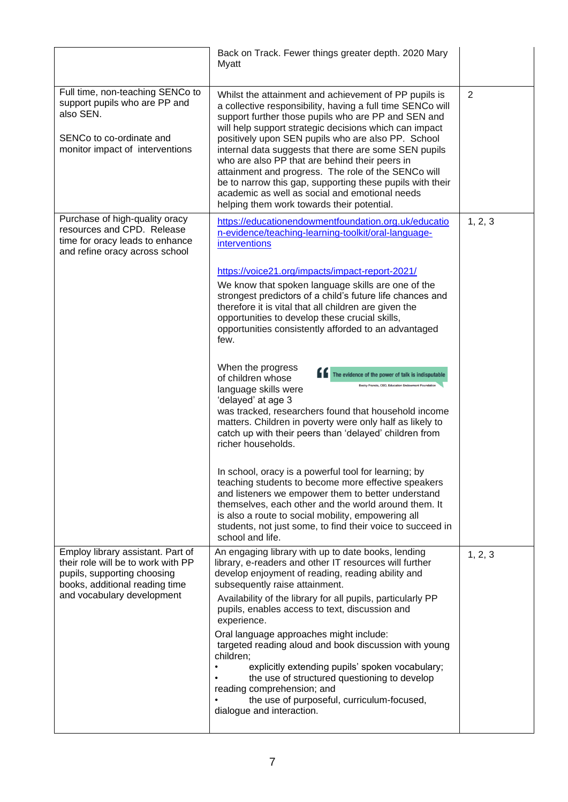|                                                                                                                                               | Back on Track. Fewer things greater depth. 2020 Mary<br>Myatt                                                                                                                                                                                                                                                                                                                                                                                                                                                                                                                                                             |                |
|-----------------------------------------------------------------------------------------------------------------------------------------------|---------------------------------------------------------------------------------------------------------------------------------------------------------------------------------------------------------------------------------------------------------------------------------------------------------------------------------------------------------------------------------------------------------------------------------------------------------------------------------------------------------------------------------------------------------------------------------------------------------------------------|----------------|
| Full time, non-teaching SENCo to<br>support pupils who are PP and<br>also SEN.<br>SENCo to co-ordinate and<br>monitor impact of interventions | Whilst the attainment and achievement of PP pupils is<br>a collective responsibility, having a full time SENCo will<br>support further those pupils who are PP and SEN and<br>will help support strategic decisions which can impact<br>positively upon SEN pupils who are also PP. School<br>internal data suggests that there are some SEN pupils<br>who are also PP that are behind their peers in<br>attainment and progress. The role of the SENCo will<br>be to narrow this gap, supporting these pupils with their<br>academic as well as social and emotional needs<br>helping them work towards their potential. | $\overline{2}$ |
| Purchase of high-quality oracy<br>resources and CPD. Release<br>time for oracy leads to enhance<br>and refine oracy across school             | https://educationendowmentfoundation.org.uk/educatio<br>n-evidence/teaching-learning-toolkit/oral-language-<br>interventions                                                                                                                                                                                                                                                                                                                                                                                                                                                                                              | 1, 2, 3        |
|                                                                                                                                               | https://voice21.org/impacts/impact-report-2021/<br>We know that spoken language skills are one of the<br>strongest predictors of a child's future life chances and<br>therefore it is vital that all children are given the<br>opportunities to develop these crucial skills,<br>opportunities consistently afforded to an advantaged<br>few.                                                                                                                                                                                                                                                                             |                |
|                                                                                                                                               | When the progress<br>The evidence of the power of talk is indisputable<br>of children whose<br>Becky Francis, CEO, Education Endowment Foun<br>language skills were<br>'delayed' at age 3<br>was tracked, researchers found that household income<br>matters. Children in poverty were only half as likely to<br>catch up with their peers than 'delayed' children from<br>richer households.                                                                                                                                                                                                                             |                |
|                                                                                                                                               | In school, oracy is a powerful tool for learning; by<br>teaching students to become more effective speakers<br>and listeners we empower them to better understand<br>themselves, each other and the world around them. It<br>is also a route to social mobility, empowering all<br>students, not just some, to find their voice to succeed in<br>school and life.                                                                                                                                                                                                                                                         |                |
| Employ library assistant. Part of<br>their role will be to work with PP<br>pupils, supporting choosing<br>books, additional reading time      | An engaging library with up to date books, lending<br>library, e-readers and other IT resources will further<br>develop enjoyment of reading, reading ability and<br>subsequently raise attainment.                                                                                                                                                                                                                                                                                                                                                                                                                       | 1, 2, 3        |
| and vocabulary development                                                                                                                    | Availability of the library for all pupils, particularly PP<br>pupils, enables access to text, discussion and<br>experience.<br>Oral language approaches might include:<br>targeted reading aloud and book discussion with young<br>children;<br>explicitly extending pupils' spoken vocabulary;<br>the use of structured questioning to develop<br>reading comprehension; and<br>the use of purposeful, curriculum-focused,<br>dialogue and interaction.                                                                                                                                                                 |                |
|                                                                                                                                               |                                                                                                                                                                                                                                                                                                                                                                                                                                                                                                                                                                                                                           |                |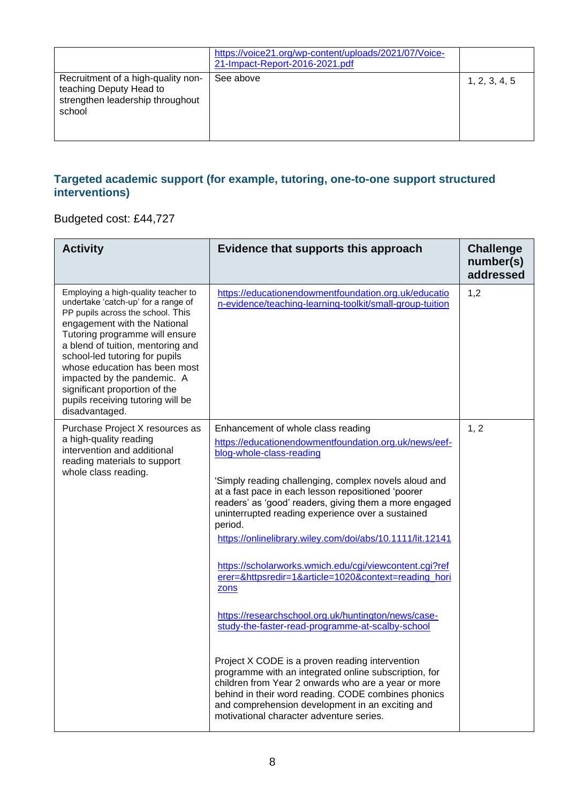|                                                                                                             | https://voice21.org/wp-content/uploads/2021/07/Voice-<br>21-Impact-Report-2016-2021.pdf |               |
|-------------------------------------------------------------------------------------------------------------|-----------------------------------------------------------------------------------------|---------------|
| Recruitment of a high-quality non-<br>teaching Deputy Head to<br>strengthen leadership throughout<br>school | See above                                                                               | 1, 2, 3, 4, 5 |

#### **Targeted academic support (for example, tutoring, one-to-one support structured interventions)**

#### Budgeted cost: £44,727

| <b>Activity</b>                                                                                                                                                                                                                                                                                                                                                                                                  | Evidence that supports this approach                                                                                                                                                                                                                                                                                   | <b>Challenge</b><br>number(s)<br>addressed |
|------------------------------------------------------------------------------------------------------------------------------------------------------------------------------------------------------------------------------------------------------------------------------------------------------------------------------------------------------------------------------------------------------------------|------------------------------------------------------------------------------------------------------------------------------------------------------------------------------------------------------------------------------------------------------------------------------------------------------------------------|--------------------------------------------|
| Employing a high-quality teacher to<br>undertake 'catch-up' for a range of<br>PP pupils across the school. This<br>engagement with the National<br>Tutoring programme will ensure<br>a blend of tuition, mentoring and<br>school-led tutoring for pupils<br>whose education has been most<br>impacted by the pandemic. A<br>significant proportion of the<br>pupils receiving tutoring will be<br>disadvantaged. | https://educationendowmentfoundation.org.uk/educatio<br>n-evidence/teaching-learning-toolkit/small-group-tuition                                                                                                                                                                                                       | 1,2                                        |
| Purchase Project X resources as<br>a high-quality reading<br>intervention and additional<br>reading materials to support<br>whole class reading.                                                                                                                                                                                                                                                                 | Enhancement of whole class reading<br>https://educationendowmentfoundation.org.uk/news/eef-<br>blog-whole-class-reading                                                                                                                                                                                                | 1, 2                                       |
|                                                                                                                                                                                                                                                                                                                                                                                                                  | 'Simply reading challenging, complex novels aloud and<br>at a fast pace in each lesson repositioned 'poorer<br>readers' as 'good' readers, giving them a more engaged<br>uninterrupted reading experience over a sustained<br>period.                                                                                  |                                            |
|                                                                                                                                                                                                                                                                                                                                                                                                                  | https://onlinelibrary.wiley.com/doi/abs/10.1111/lit.12141                                                                                                                                                                                                                                                              |                                            |
|                                                                                                                                                                                                                                                                                                                                                                                                                  | https://scholarworks.wmich.edu/cgi/viewcontent.cgi?ref<br>erer=&httpsredir=1&article=1020&context=reading_hori<br>zons                                                                                                                                                                                                 |                                            |
|                                                                                                                                                                                                                                                                                                                                                                                                                  | https://researchschool.org.uk/huntington/news/case-<br>study-the-faster-read-programme-at-scalby-school                                                                                                                                                                                                                |                                            |
|                                                                                                                                                                                                                                                                                                                                                                                                                  | Project X CODE is a proven reading intervention<br>programme with an integrated online subscription, for<br>children from Year 2 onwards who are a year or more<br>behind in their word reading. CODE combines phonics<br>and comprehension development in an exciting and<br>motivational character adventure series. |                                            |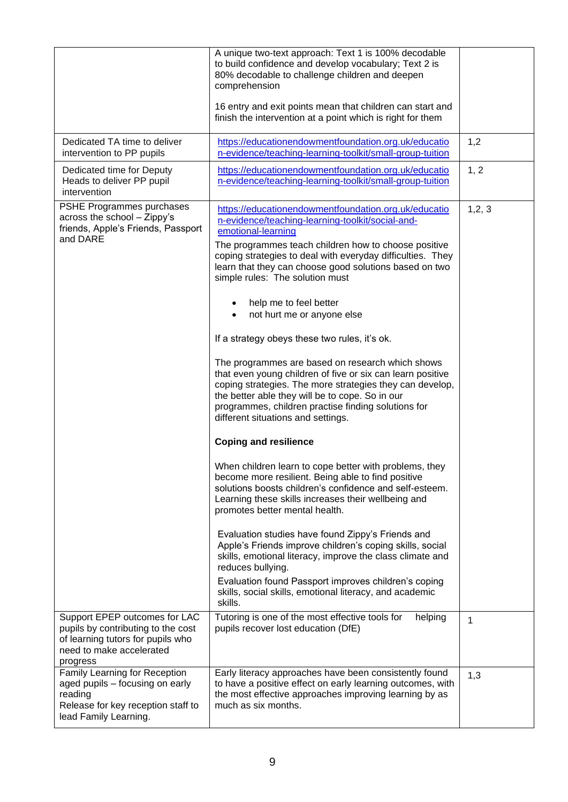|                                                                                                                                                  | A unique two-text approach: Text 1 is 100% decodable<br>to build confidence and develop vocabulary; Text 2 is<br>80% decodable to challenge children and deepen<br>comprehension<br>16 entry and exit points mean that children can start and<br>finish the intervention at a point which is right for them                                                                                                                                                                                                                                                                                                                                                                                                                                                                                                                                                                                                                                                                                                                                                                                                                                                                                                                                                                                                                                                                                                        |         |
|--------------------------------------------------------------------------------------------------------------------------------------------------|--------------------------------------------------------------------------------------------------------------------------------------------------------------------------------------------------------------------------------------------------------------------------------------------------------------------------------------------------------------------------------------------------------------------------------------------------------------------------------------------------------------------------------------------------------------------------------------------------------------------------------------------------------------------------------------------------------------------------------------------------------------------------------------------------------------------------------------------------------------------------------------------------------------------------------------------------------------------------------------------------------------------------------------------------------------------------------------------------------------------------------------------------------------------------------------------------------------------------------------------------------------------------------------------------------------------------------------------------------------------------------------------------------------------|---------|
| Dedicated TA time to deliver<br>intervention to PP pupils                                                                                        | https://educationendowmentfoundation.org.uk/educatio<br>n-evidence/teaching-learning-toolkit/small-group-tuition                                                                                                                                                                                                                                                                                                                                                                                                                                                                                                                                                                                                                                                                                                                                                                                                                                                                                                                                                                                                                                                                                                                                                                                                                                                                                                   | 1,2     |
| Dedicated time for Deputy<br>Heads to deliver PP pupil<br>intervention                                                                           | https://educationendowmentfoundation.org.uk/educatio<br>n-evidence/teaching-learning-toolkit/small-group-tuition                                                                                                                                                                                                                                                                                                                                                                                                                                                                                                                                                                                                                                                                                                                                                                                                                                                                                                                                                                                                                                                                                                                                                                                                                                                                                                   | 1, 2    |
| PSHE Programmes purchases<br>across the school - Zippy's<br>friends, Apple's Friends, Passport<br>and DARE                                       | https://educationendowmentfoundation.org.uk/educatio<br>n-evidence/teaching-learning-toolkit/social-and-<br>emotional-learning<br>The programmes teach children how to choose positive<br>coping strategies to deal with everyday difficulties. They<br>learn that they can choose good solutions based on two<br>simple rules: The solution must<br>help me to feel better<br>not hurt me or anyone else<br>If a strategy obeys these two rules, it's ok.<br>The programmes are based on research which shows<br>that even young children of five or six can learn positive<br>coping strategies. The more strategies they can develop,<br>the better able they will be to cope. So in our<br>programmes, children practise finding solutions for<br>different situations and settings.<br><b>Coping and resilience</b><br>When children learn to cope better with problems, they<br>become more resilient. Being able to find positive<br>solutions boosts children's confidence and self-esteem.<br>Learning these skills increases their wellbeing and<br>promotes better mental health.<br>Evaluation studies have found Zippy's Friends and<br>Apple's Friends improve children's coping skills, social<br>skills, emotional literacy, improve the class climate and<br>reduces bullying.<br>Evaluation found Passport improves children's coping<br>skills, social skills, emotional literacy, and academic | 1, 2, 3 |
| Support EPEP outcomes for LAC<br>pupils by contributing to the cost<br>of learning tutors for pupils who<br>need to make accelerated<br>progress | skills.<br>Tutoring is one of the most effective tools for<br>helping<br>pupils recover lost education (DfE)                                                                                                                                                                                                                                                                                                                                                                                                                                                                                                                                                                                                                                                                                                                                                                                                                                                                                                                                                                                                                                                                                                                                                                                                                                                                                                       | 1       |
| Family Learning for Reception<br>aged pupils – focusing on early<br>reading<br>Release for key reception staff to<br>lead Family Learning.       | Early literacy approaches have been consistently found<br>to have a positive effect on early learning outcomes, with<br>the most effective approaches improving learning by as<br>much as six months.                                                                                                                                                                                                                                                                                                                                                                                                                                                                                                                                                                                                                                                                                                                                                                                                                                                                                                                                                                                                                                                                                                                                                                                                              | 1,3     |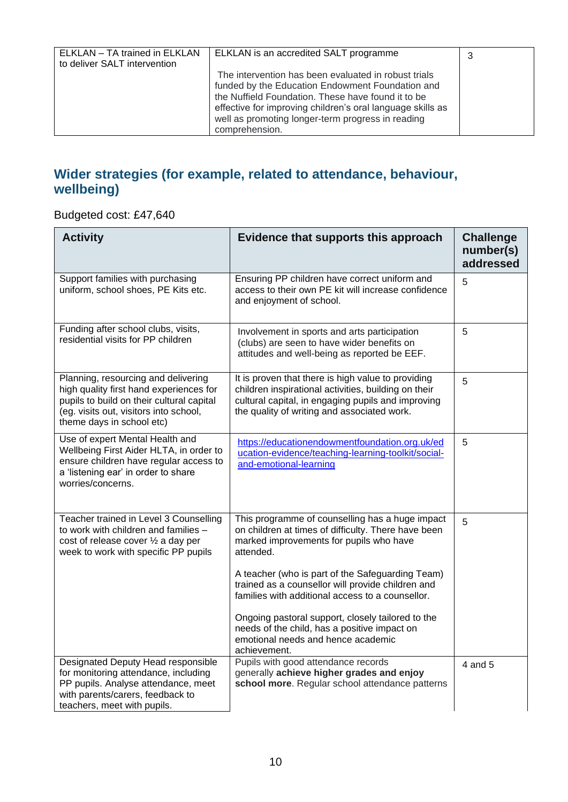| ELKLAN - TA trained in ELKLAN<br>ELKLAN is an accredited SALT programme<br>3<br>to deliver SALT intervention<br>The intervention has been evaluated in robust trials<br>funded by the Education Endowment Foundation and<br>the Nuffield Foundation. These have found it to be<br>effective for improving children's oral language skills as |                                                   |  |
|----------------------------------------------------------------------------------------------------------------------------------------------------------------------------------------------------------------------------------------------------------------------------------------------------------------------------------------------|---------------------------------------------------|--|
|                                                                                                                                                                                                                                                                                                                                              |                                                   |  |
| comprehension.                                                                                                                                                                                                                                                                                                                               | well as promoting longer-term progress in reading |  |

### **Wider strategies (for example, related to attendance, behaviour, wellbeing)**

Budgeted cost: £47,640

| <b>Activity</b>                                                                                                                                                                                    | Evidence that supports this approach                                                                                                                                                                                                                                    | <b>Challenge</b><br>number(s)<br>addressed |
|----------------------------------------------------------------------------------------------------------------------------------------------------------------------------------------------------|-------------------------------------------------------------------------------------------------------------------------------------------------------------------------------------------------------------------------------------------------------------------------|--------------------------------------------|
| Support families with purchasing<br>uniform, school shoes, PE Kits etc.                                                                                                                            | Ensuring PP children have correct uniform and<br>access to their own PE kit will increase confidence<br>and enjoyment of school.                                                                                                                                        | 5                                          |
| Funding after school clubs, visits,<br>residential visits for PP children                                                                                                                          | Involvement in sports and arts participation<br>(clubs) are seen to have wider benefits on<br>attitudes and well-being as reported be EEF.                                                                                                                              | 5                                          |
| Planning, resourcing and delivering<br>high quality first hand experiences for<br>pupils to build on their cultural capital<br>(eg. visits out, visitors into school,<br>theme days in school etc) | It is proven that there is high value to providing<br>children inspirational activities, building on their<br>cultural capital, in engaging pupils and improving<br>the quality of writing and associated work.                                                         | 5                                          |
| Use of expert Mental Health and<br>Wellbeing First Aider HLTA, in order to<br>ensure children have regular access to<br>a 'listening ear' in order to share<br>worries/concerns.                   | https://educationendowmentfoundation.org.uk/ed<br>ucation-evidence/teaching-learning-toolkit/social-<br>and-emotional-learning                                                                                                                                          | 5                                          |
| Teacher trained in Level 3 Counselling<br>to work with children and families -<br>cost of release cover 1/2 a day per<br>week to work with specific PP pupils                                      | This programme of counselling has a huge impact<br>on children at times of difficulty. There have been<br>marked improvements for pupils who have<br>attended.<br>A teacher (who is part of the Safeguarding Team)<br>trained as a counsellor will provide children and | 5                                          |
|                                                                                                                                                                                                    | families with additional access to a counsellor.<br>Ongoing pastoral support, closely tailored to the<br>needs of the child, has a positive impact on<br>emotional needs and hence academic<br>achievement.                                                             |                                            |
| Designated Deputy Head responsible<br>for monitoring attendance, including<br>PP pupils. Analyse attendance, meet<br>with parents/carers, feedback to<br>teachers, meet with pupils.               | Pupils with good attendance records<br>generally achieve higher grades and enjoy<br>school more. Regular school attendance patterns                                                                                                                                     | 4 and 5                                    |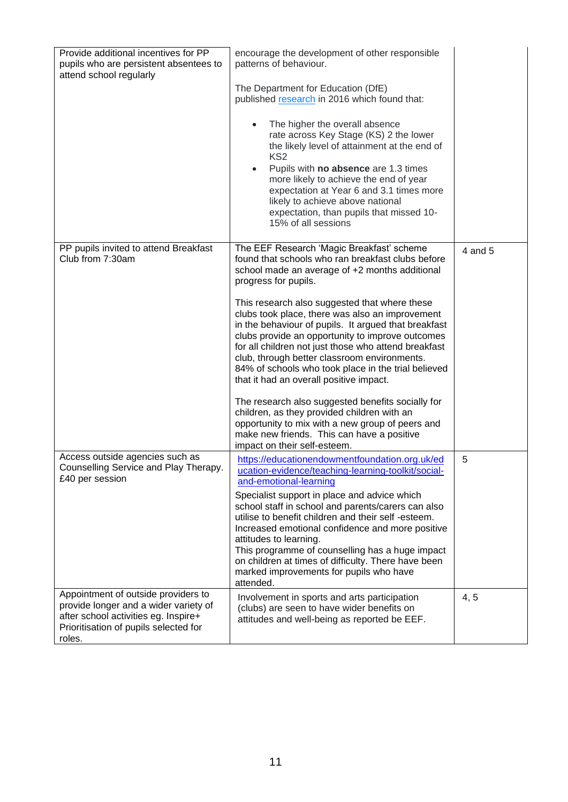| Provide additional incentives for PP<br>pupils who are persistent absentees to<br>attend school regularly                                                               | encourage the development of other responsible<br>patterns of behaviour.<br>The Department for Education (DfE)<br>published research in 2016 which found that:<br>The higher the overall absence<br>$\bullet$<br>rate across Key Stage (KS) 2 the lower<br>the likely level of attainment at the end of<br>KS <sub>2</sub><br>Pupils with no absence are 1.3 times<br>$\bullet$<br>more likely to achieve the end of year<br>expectation at Year 6 and 3.1 times more<br>likely to achieve above national<br>expectation, than pupils that missed 10-<br>15% of all sessions                                                                                                                                                                                                                                                             |         |
|-------------------------------------------------------------------------------------------------------------------------------------------------------------------------|------------------------------------------------------------------------------------------------------------------------------------------------------------------------------------------------------------------------------------------------------------------------------------------------------------------------------------------------------------------------------------------------------------------------------------------------------------------------------------------------------------------------------------------------------------------------------------------------------------------------------------------------------------------------------------------------------------------------------------------------------------------------------------------------------------------------------------------|---------|
| PP pupils invited to attend Breakfast<br>Club from 7:30am                                                                                                               | The EEF Research 'Magic Breakfast' scheme<br>found that schools who ran breakfast clubs before<br>school made an average of +2 months additional<br>progress for pupils.<br>This research also suggested that where these<br>clubs took place, there was also an improvement<br>in the behaviour of pupils. It argued that breakfast<br>clubs provide an opportunity to improve outcomes<br>for all children not just those who attend breakfast<br>club, through better classroom environments.<br>84% of schools who took place in the trial believed<br>that it had an overall positive impact.<br>The research also suggested benefits socially for<br>children, as they provided children with an<br>opportunity to mix with a new group of peers and<br>make new friends. This can have a positive<br>impact on their self-esteem. | 4 and 5 |
| Access outside agencies such as<br>Counselling Service and Play Therapy.<br>£40 per session                                                                             | https://educationendowmentfoundation.org.uk/ed<br>ucation-evidence/teaching-learning-toolkit/social-<br>and-emotional-learning<br>Specialist support in place and advice which<br>school staff in school and parents/carers can also<br>utilise to benefit children and their self -esteem.<br>Increased emotional confidence and more positive<br>attitudes to learning.<br>This programme of counselling has a huge impact<br>on children at times of difficulty. There have been<br>marked improvements for pupils who have<br>attended.                                                                                                                                                                                                                                                                                              | 5       |
| Appointment of outside providers to<br>provide longer and a wider variety of<br>after school activities eg. Inspire+<br>Prioritisation of pupils selected for<br>roles. | Involvement in sports and arts participation<br>(clubs) are seen to have wider benefits on<br>attitudes and well-being as reported be EEF.                                                                                                                                                                                                                                                                                                                                                                                                                                                                                                                                                                                                                                                                                               | 4, 5    |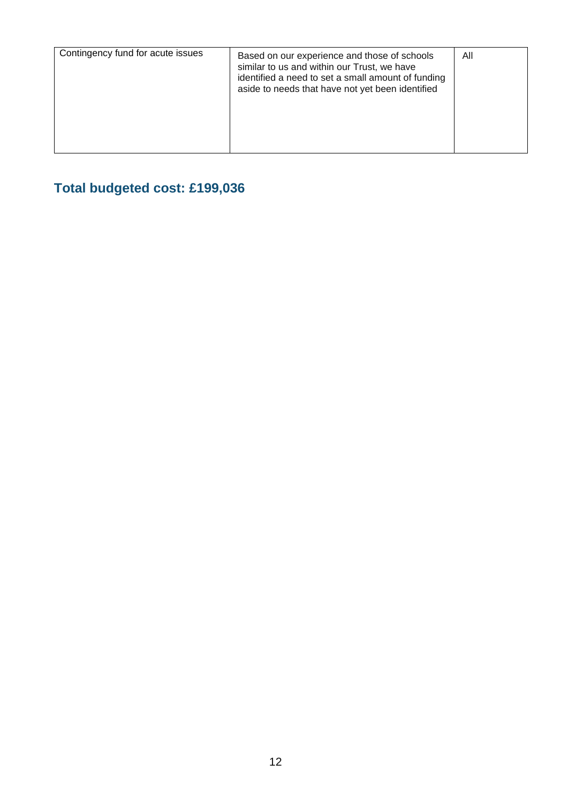| Contingency fund for acute issues | Based on our experience and those of schools<br>similar to us and within our Trust, we have<br>identified a need to set a small amount of funding<br>aside to needs that have not yet been identified | All |
|-----------------------------------|-------------------------------------------------------------------------------------------------------------------------------------------------------------------------------------------------------|-----|
|                                   |                                                                                                                                                                                                       |     |

# **Total budgeted cost: £199,036**